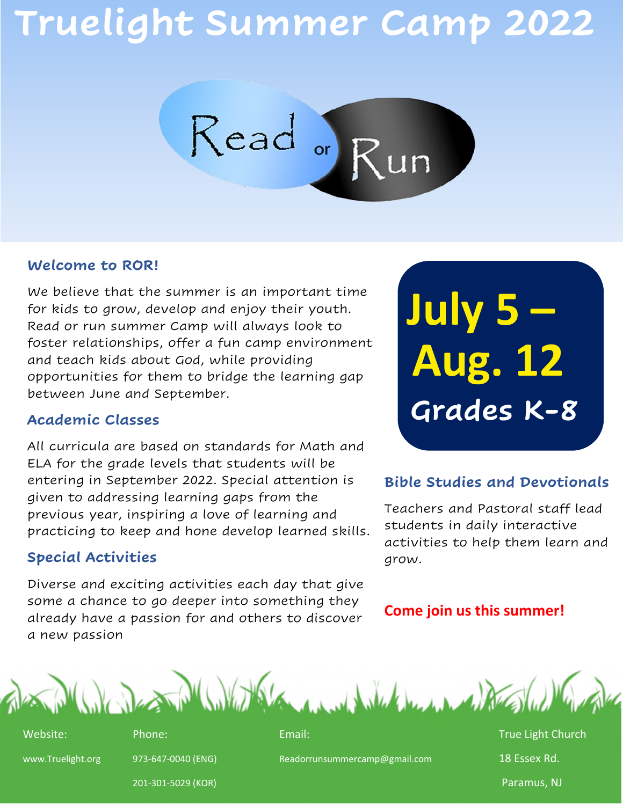# **Truelight Summer Camp 2022**



### **Welcome to ROR!**

We believe that the summer is an important time for kids to grow, develop and enjoy their youth. Read or run summer Camp will always look to foster relationships, offer a fun camp environment and teach kids about God, while providing opportunities for them to bridge the learning gap between June and September.

### **Academic Classes**

All curricula are based on standards for Math and ELA for the grade levels that students will be entering in September 2022. Special attention is given to addressing learning gaps from the previous year, inspiring a love of learning and practicing to keep and hone develop learned skills.

### **Special Activities**

Diverse and exciting activities each day that give some a chance to go deeper into something they already have a passion for and others to discover a new passion

**July 5 – Aug. 12 Grades K -8** 

### **Bible Studies and Devotionals**

Teachers and Pastoral staff lead students in daily interactive activities to help them learn and grow.

### **Come join us this summer!**



Website: The Phone: The Phone: Email: True Light Church Phone: True Light Church

www.Truelight.org 973-647-0040 (ENG) Readorrunsummercamp@gmail.com 18 Essex Rd.

201-301-5029 (KOR) Paramus, NJ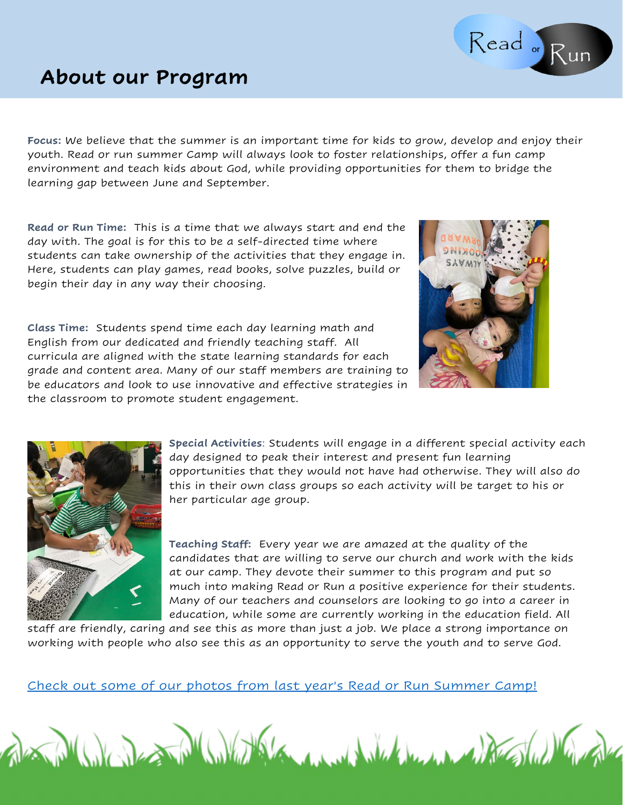### **About our Program**

**Focus:** We believe that the summer is an important time for kids to grow, develop and enjoy their youth. Read or run summer Camp will always look to foster relationships, offer a fun camp environment and teach kids about God, while providing opportunities for them to bridge the learning gap between June and September.

**Read or Run Time:** This is a time that we always start and end the day with. The goal is for this to be a self-directed time where students can take ownership of the activities that they engage in. Here, students can play games, read books, solve puzzles, build or begin their day in any way their choosing.

**Class Time:** Students spend time each day learning math and English from our dedicated and friendly teaching staff. All curricula are aligned with the state learning standards for each grade and content area. Many of our staff members are training to be educators and look to use innovative and effective strategies in the classroom to promote student engagement.

**Special Activities**: Students will engage in a different special activity each day designed to peak their interest and present fun learning opportunities that they would not have had otherwise. They will also do this in their own class groups so each activity will be target to his or her particular age group.

**Teaching Staff:** Every year we are amazed at the quality of the candidates that are willing to serve our church and work with the kids at our camp. They devote their summer to this program and put so much into making Read or Run a positive experience for their students. Many of our teachers and counselors are looking to go into a career in education, while some are currently working in the education field. All

staff are friendly, caring and see this as more than just a job. We place a strong importance on working with people who also see this as an opportunity to serve the youth and to serve God.

[Check out some of our photos from last year's Read or Run Summer Camp!](https://truelight.smugmug.com/2021/062821-Summer-Camp)







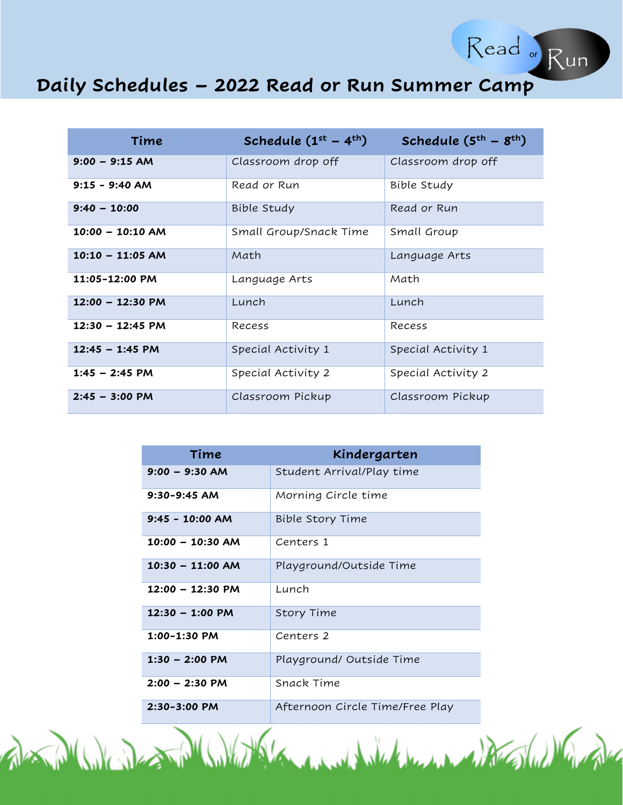

Read or Run

| Time                       | Schedule $(1^{st} – 4^{th})$ | Schedule $(5th - 8th)$ |
|----------------------------|------------------------------|------------------------|
| $9:00 - 9:15 AM$           | Classroom drop off           | Classroom drop off     |
| $9:15 - 9:40$ AM           | Read or Run                  | Bible Study            |
| $9:40 - 10:00$             | Bible Study                  | Read or Run            |
| $10:00 - 10:10 AM$         | Small Group/Snack Time       | Small Group            |
| $10:10 - 11:05$ AM         | Math                         | Language Arts          |
| 11:05-12:00 PM             | Language Arts                | Math                   |
| $12:00 - 12:30 P M$        | Lunch                        | Lunch                  |
| $12:30 - 12:45 \text{ PM}$ | Recess                       | Recess                 |
| $12:45 - 1:45$ PM          | Special Activity 1           | Special Activity 1     |
| $1:45 - 2:45$ PM           | Special Activity 2           | Special Activity 2     |
| $2:45 - 3:00 \text{ PM}$   | Classroom Pickup             | Classroom Pickup       |

| Time                      | Kindergarten                    |
|---------------------------|---------------------------------|
| $9:00 - 9:30$ AM          | Student Arrival/Play time       |
| $9:30 - 9:45$ AM          | Morning Circle time             |
| $9:45 - 10:00$ AM         | Bible Story Time                |
| $10:00 - 10:30$ AM        | Centers 1                       |
| $10:30 - 11:00$ AM        | Playground/Outside Time         |
| $12:00 - 12:30 P M$       | Lunch                           |
| $12:30 - 1:00 \text{ PM}$ | Story Time                      |
| $1:00 - 1:30$ PM          | Centers 2                       |
| $1:30 - 2:00$ PM          | Playground/ Outside Time        |
| $2:00 - 2:30$ PM          | Snack Time                      |
| 2:30-3:00 PM              | Afternoon Circle Time/Free Play |

de Mille des Philips de la Mille de Mille de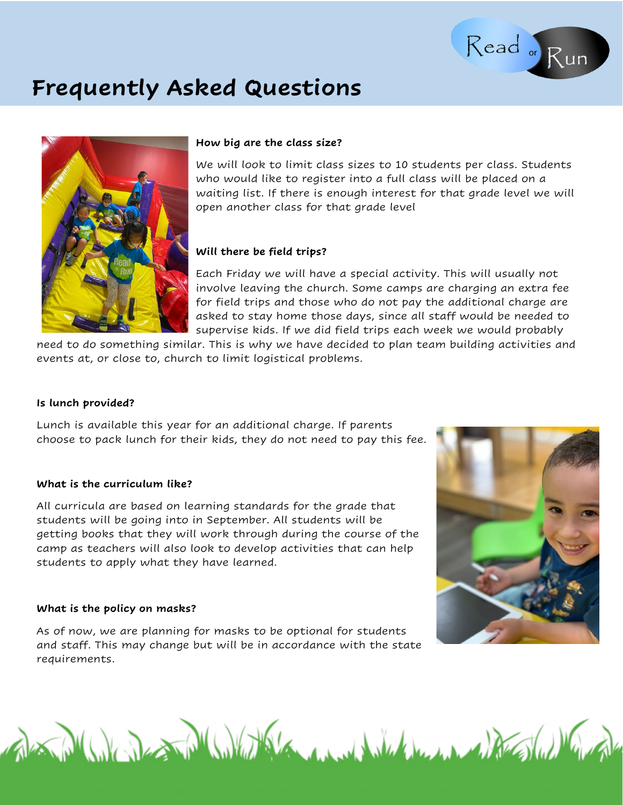### **Frequently Asked Questions**



#### **How big are the class size?**

We will look to limit class sizes to 10 students per class. Students who would like to register into a full class will be placed on a waiting list. If there is enough interest for that grade level we will open another class for that grade level

Read Run

#### **Will there be field trips?**

Each Friday we will have a special activity. This will usually not involve leaving the church. Some camps are charging an extra fee for field trips and those who do not pay the additional charge are asked to stay home those days, since all staff would be needed to supervise kids. If we did field trips each week we would probably

need to do something similar. This is why we have decided to plan team building activities and events at, or close to, church to limit logistical problems.

#### **Is lunch provided?**

Lunch is available this year for an additional charge. If parents choose to pack lunch for their kids, they do not need to pay this fee.

#### **What is the curriculum like?**

All curricula are based on learning standards for the grade that students will be going into in September. All students will be getting books that they will work through during the course of the camp as teachers will also look to develop activities that can help students to apply what they have learned.

#### **What is the policy on masks?**

As of now, we are planning for masks to be optional for students and staff. This may change but will be in accordance with the state requirements.

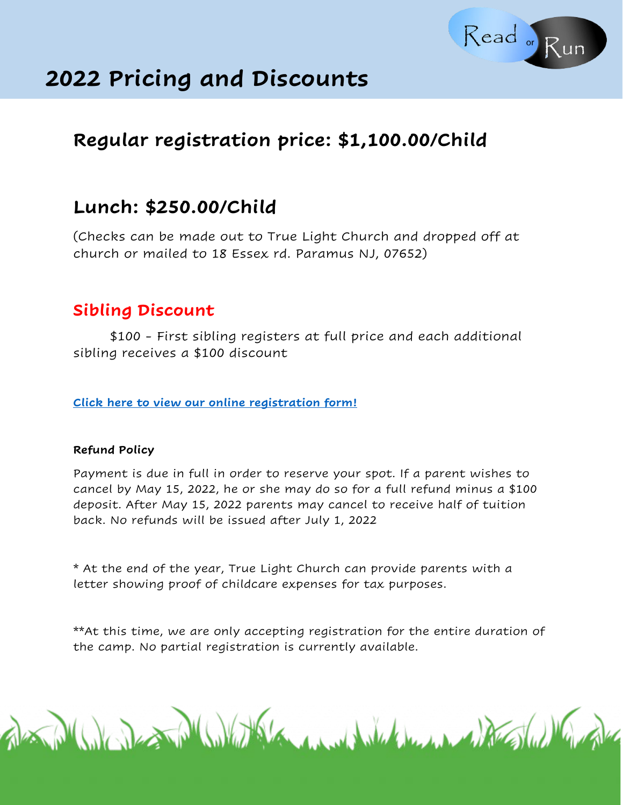

### **2022 Pricing and Discounts**

### **Regular registration price: \$1,100.00/Child**

### **Lunch: \$250.00/Child**

(Checks can be made out to True Light Church and dropped off at church or mailed to 18 Essex rd. Paramus NJ, 07652)

### **Sibling Discount**

\$100 - First sibling registers at full price and each additional sibling receives a \$100 discount

**[Click here to view our online registration form!](https://forms.gle/PcfDKUfoVPVx8kUP8)**

### **Refund Policy**

Payment is due in full in order to reserve your spot. If a parent wishes to cancel by May 15, 2022, he or she may do so for a full refund minus a \$100 deposit. After May 15, 2022 parents may cancel to receive half of tuition back. No refunds will be issued after July 1, 2022

\* At the end of the year, True Light Church can provide parents with a letter showing proof of childcare expenses for tax purposes.

\*\*At this time, we are only accepting registration for the entire duration of the camp. No partial registration is currently available.

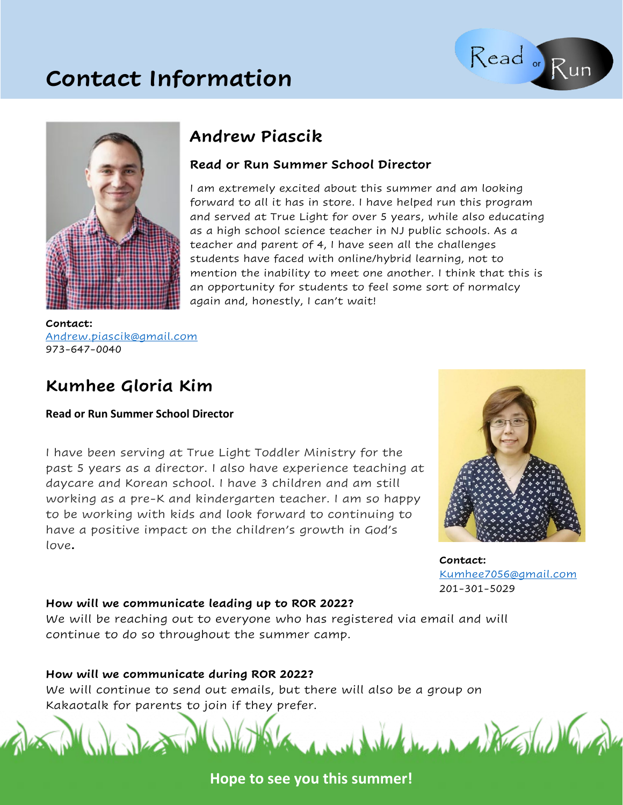### **Contact Information**





### **Andrew Piascik**

### **Read or Run Summer School Director**

I am extremely excited about this summer and am looking forward to all it has in store. I have helped run this program and served at True Light for over 5 years, while also educating as a high school science teacher in NJ public schools. As a teacher and parent of 4, I have seen all the challenges students have faced with online/hybrid learning, not to mention the inability to meet one another. I think that this is an opportunity for students to feel some sort of normalcy again and, honestly, I can't wait!

**Contact:**  [Andrew.piascik@gmail.com](mailto:Andrew.piascik@gmail.com) 973-647-0040

### **Kumhee Gloria Kim**

### **Read or Run Summer School Director**

I have been serving at True Light Toddler Ministry for the past 5 years as a director. I also have experience teaching at daycare and Korean school. I have 3 children and am still working as a pre-K and kindergarten teacher. I am so happy to be working with kids and look forward to continuing to have a positive impact on the children's growth in God's love**.**



**Contact:** [Kumhee7056@gmail.com](mailto:Kumhee7056@gmail.com) 201-301-5029

### **How will we communicate leading up to ROR 2022?**

We will be reaching out to everyone who has registered via email and will continue to do so throughout the summer camp.

### **How will we communicate during ROR 2022?**

We will continue to send out emails, but there will also be a group on Kakaotalk for parents to join if they prefer.

Valence Marshall

**Hope to see you this summer!**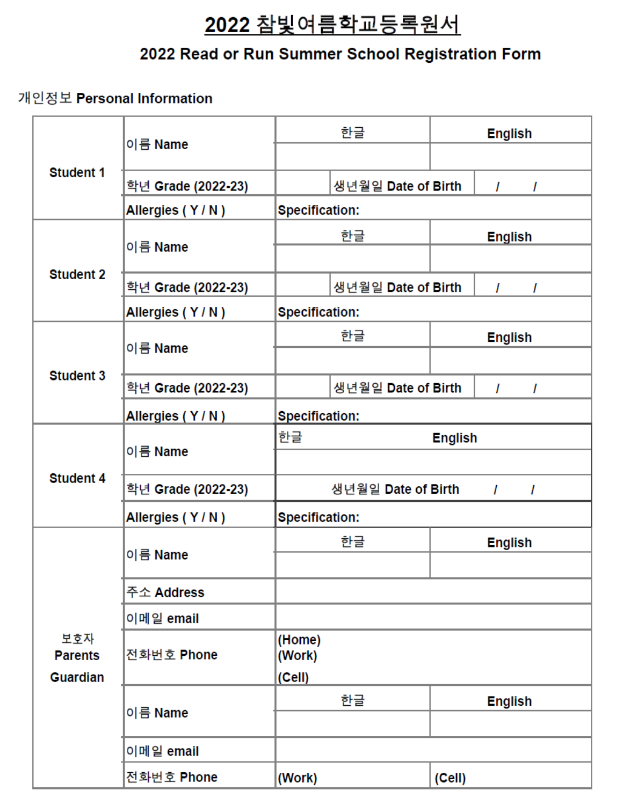## 2022 참빛여름학교등록원서

### 2022 Read or Run Summer School Registration Form

### 개인정보 Personal Information

| <b>Student 1</b> |                    | 한글                                       |                | <b>English</b> |
|------------------|--------------------|------------------------------------------|----------------|----------------|
|                  | 이름 Name            |                                          |                |                |
|                  | 학년 Grade (2022-23) | 생년월일 Date of Birth                       |                | I              |
|                  | Allergies (Y/N)    | <b>Specification:</b>                    |                |                |
| <b>Student 2</b> | 이름 Name            | 한글                                       |                | <b>English</b> |
|                  |                    |                                          |                |                |
|                  | 학년 Grade (2022-23) | 생년월일 Date of Birth                       |                | I              |
|                  | Allergies (Y/N)    | <b>Specification:</b>                    |                |                |
|                  | 이름 Name            | 한글                                       |                | <b>English</b> |
|                  |                    |                                          |                |                |
| <b>Student 3</b> | 학년 Grade (2022-23) | 생년월일 Date of Birth                       |                | I<br>I         |
|                  | Allergies (Y/N)    | <b>Specification:</b>                    |                |                |
| <b>Student 4</b> | 이름 Name            | 한글                                       | <b>English</b> |                |
|                  |                    |                                          |                |                |
|                  | 학년 Grade (2022-23) | 생년월일 Date of Birth<br>$\mathcal{L}$<br>I |                |                |
|                  | Allergies (Y/N)    | <b>Specification:</b>                    |                |                |
|                  |                    | 한글                                       |                | <b>English</b> |
|                  | 이름 Name            |                                          |                |                |
|                  | 주소 Address         |                                          |                |                |
|                  | 이메일 email          |                                          |                |                |
| 보호자              |                    | (Home)                                   |                |                |
| <b>Parents</b>   | 전화번호 Phone         | (Work)                                   |                |                |
| <b>Guardian</b>  | 이름 Name            | (Cell)<br>한글                             |                | <b>English</b> |
|                  |                    |                                          |                |                |
|                  | 이메일 email          |                                          |                |                |
|                  | 전화번호 Phone         | (Work)                                   | (Cell)         |                |